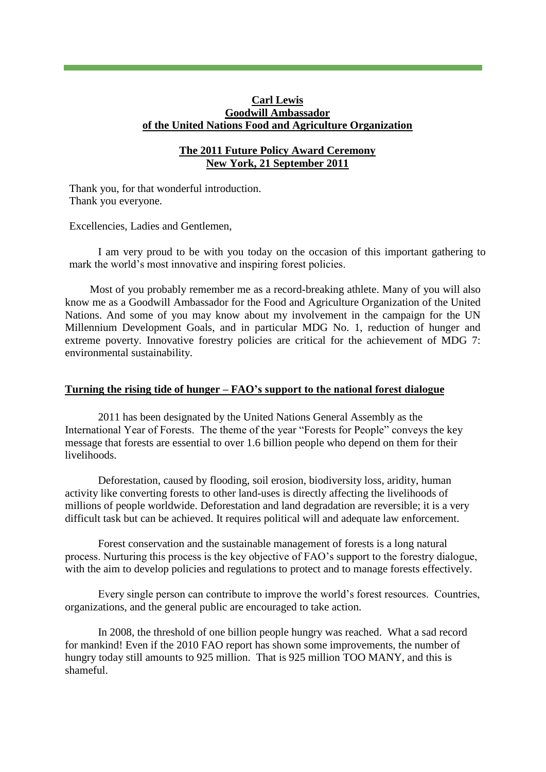## **Carl Lewis Goodwill Ambassador of the United Nations Food and Agriculture Organization**

## **The 2011 Future Policy Award Ceremony New York, 21 September 2011**

Thank you, for that wonderful introduction. Thank you everyone.

Excellencies, Ladies and Gentlemen,

I am very proud to be with you today on the occasion of this important gathering to mark the world's most innovative and inspiring forest policies.

Most of you probably remember me as a record-breaking athlete. Many of you will also know me as a Goodwill Ambassador for the Food and Agriculture Organization of the United Nations. And some of you may know about my involvement in the campaign for the UN Millennium Development Goals, and in particular MDG No. 1, reduction of hunger and extreme poverty. Innovative forestry policies are critical for the achievement of MDG 7: environmental sustainability.

## **Turning the rising tide of hunger – FAO's support to the national forest dialogue**

2011 has been designated by the United Nations General Assembly as the International Year of Forests. The theme of the year "Forests for People" conveys the key message that forests are essential to over 1.6 billion people who depend on them for their livelihoods.

Deforestation, caused by flooding, soil erosion, biodiversity loss, aridity, human activity like converting forests to other land-uses is directly affecting the livelihoods of millions of people worldwide. Deforestation and land degradation are reversible; it is a very difficult task but can be achieved. It requires political will and adequate law enforcement.

Forest conservation and the sustainable management of forests is a long natural process. Nurturing this process is the key objective of FAO's support to the forestry dialogue, with the aim to develop policies and regulations to protect and to manage forests effectively.

Every single person can contribute to improve the world's forest resources. Countries, organizations, and the general public are encouraged to take action.

In 2008, the threshold of one billion people hungry was reached. What a sad record for mankind! Even if the 2010 FAO report has shown some improvements, the number of hungry today still amounts to 925 million. That is 925 million TOO MANY, and this is shameful.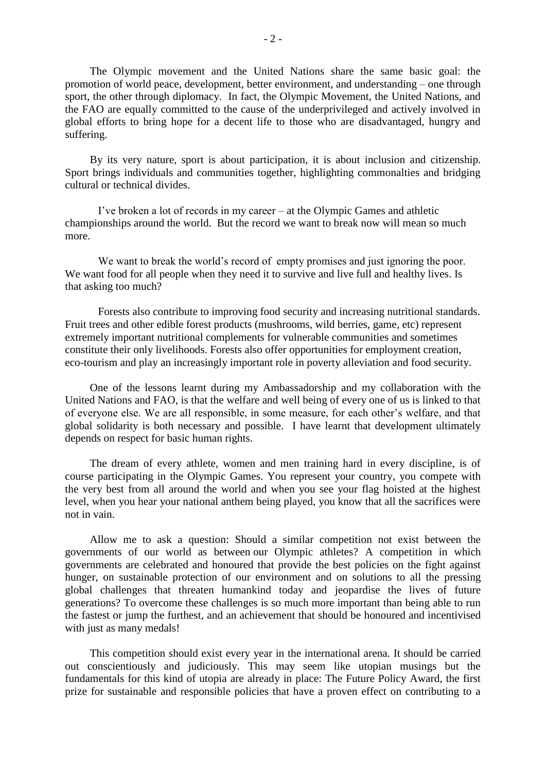The Olympic movement and the United Nations share the same basic goal: the promotion of world peace, development, better environment, and understanding – one through sport, the other through diplomacy. In fact, the Olympic Movement, the United Nations, and the FAO are equally committed to the cause of the underprivileged and actively involved in global efforts to bring hope for a decent life to those who are disadvantaged, hungry and suffering.

By its very nature, sport is about participation, it is about inclusion and citizenship. Sport brings individuals and communities together, highlighting commonalties and bridging cultural or technical divides.

I've broken a lot of records in my career – at the Olympic Games and athletic championships around the world. But the record we want to break now will mean so much more.

We want to break the world's record of empty promises and just ignoring the poor. We want food for all people when they need it to survive and live full and healthy lives. Is that asking too much?

Forests also contribute to improving food security and increasing nutritional standards. Fruit trees and other edible forest products (mushrooms, wild berries, game, etc) represent extremely important nutritional complements for vulnerable communities and sometimes constitute their only livelihoods. Forests also offer opportunities for employment creation, eco-tourism and play an increasingly important role in poverty alleviation and food security.

One of the lessons learnt during my Ambassadorship and my collaboration with the United Nations and FAO, is that the welfare and well being of every one of us is linked to that of everyone else. We are all responsible, in some measure, for each other's welfare, and that global solidarity is both necessary and possible. I have learnt that development ultimately depends on respect for basic human rights.

The dream of every athlete, women and men training hard in every discipline, is of course participating in the Olympic Games. You represent your country, you compete with the very best from all around the world and when you see your flag hoisted at the highest level, when you hear your national anthem being played, you know that all the sacrifices were not in vain.

Allow me to ask a question: Should a similar competition not exist between the governments of our world as between our Olympic athletes? A competition in which governments are celebrated and honoured that provide the best policies on the fight against hunger, on sustainable protection of our environment and on solutions to all the pressing global challenges that threaten humankind today and jeopardise the lives of future generations? To overcome these challenges is so much more important than being able to run the fastest or jump the furthest, and an achievement that should be honoured and incentivised with just as many medals!

This competition should exist every year in the international arena. It should be carried out conscientiously and judiciously. This may seem like utopian musings but the fundamentals for this kind of utopia are already in place: The Future Policy Award, the first prize for sustainable and responsible policies that have a proven effect on contributing to a